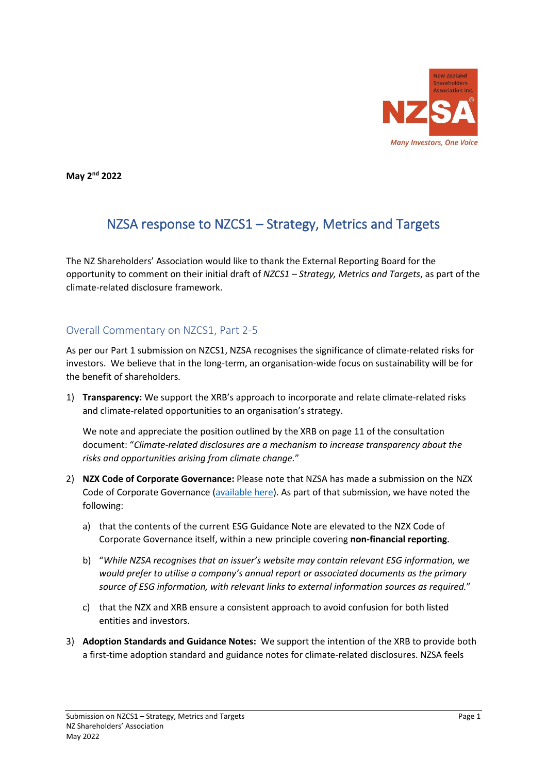

**May 2nd 2022**

# NZSA response to NZCS1 – Strategy, Metrics and Targets

The NZ Shareholders' Association would like to thank the External Reporting Board for the opportunity to comment on their initial draft of *NZCS1 – Strategy, Metrics and Targets*, as part of the climate-related disclosure framework.

# Overall Commentary on NZCS1, Part 2-5

As per our Part 1 submission on NZCS1, NZSA recognises the significance of climate-related risks for investors. We believe that in the long-term, an organisation-wide focus on sustainability will be for the benefit of shareholders.

1) **Transparency:** We support the XRB's approach to incorporate and relate climate-related risks and climate-related opportunities to an organisation's strategy.

We note and appreciate the position outlined by the XRB on page 11 of the consultation document: "*Climate-related disclosures are a mechanism to increase transparency about the risks and opportunities arising from climate change.*"

- 2) **NZX Code of Corporate Governance:** Please note that NZSA has made a submission on the NZX Code of Corporate Governance [\(available here\)](https://www.nzshareholders.co.nz/2022/01/submission-nzx-code-of-corporate-governance/24/39/). As part of that submission, we have noted the following:
	- a) that the contents of the current ESG Guidance Note are elevated to the NZX Code of Corporate Governance itself, within a new principle covering **non-financial reporting**.
	- b) "*While NZSA recognises that an issuer's website may contain relevant ESG information, we would prefer to utilise a company's annual report or associated documents as the primary source of ESG information, with relevant links to external information sources as required.*"
	- c) that the NZX and XRB ensure a consistent approach to avoid confusion for both listed entities and investors.
- 3) **Adoption Standards and Guidance Notes:** We support the intention of the XRB to provide both a first-time adoption standard and guidance notes for climate-related disclosures. NZSA feels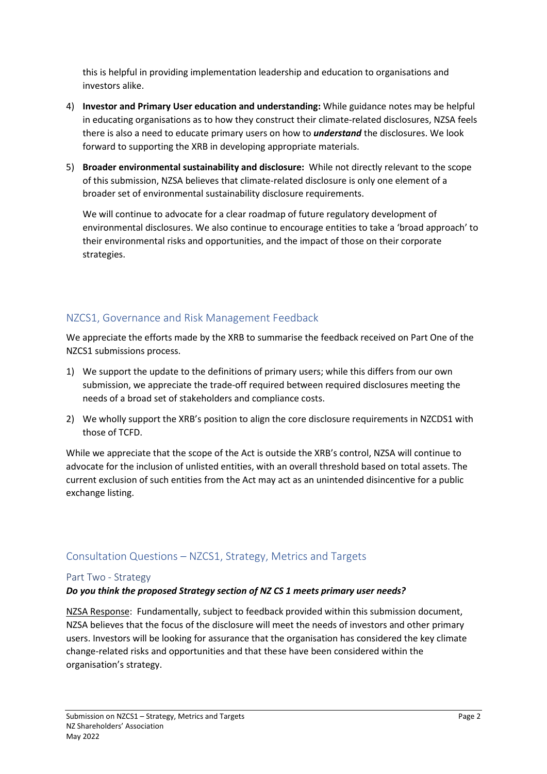this is helpful in providing implementation leadership and education to organisations and investors alike.

- 4) **Investor and Primary User education and understanding:** While guidance notes may be helpful in educating organisations as to how they construct their climate-related disclosures, NZSA feels there is also a need to educate primary users on how to *understand* the disclosures. We look forward to supporting the XRB in developing appropriate materials.
- 5) **Broader environmental sustainability and disclosure:** While not directly relevant to the scope of this submission, NZSA believes that climate-related disclosure is only one element of a broader set of environmental sustainability disclosure requirements.

We will continue to advocate for a clear roadmap of future regulatory development of environmental disclosures. We also continue to encourage entities to take a 'broad approach' to their environmental risks and opportunities, and the impact of those on their corporate strategies.

# NZCS1, Governance and Risk Management Feedback

We appreciate the efforts made by the XRB to summarise the feedback received on Part One of the NZCS1 submissions process.

- 1) We support the update to the definitions of primary users; while this differs from our own submission, we appreciate the trade-off required between required disclosures meeting the needs of a broad set of stakeholders and compliance costs.
- 2) We wholly support the XRB's position to align the core disclosure requirements in NZCDS1 with those of TCFD.

While we appreciate that the scope of the Act is outside the XRB's control, NZSA will continue to advocate for the inclusion of unlisted entities, with an overall threshold based on total assets. The current exclusion of such entities from the Act may act as an unintended disincentive for a public exchange listing.

## Consultation Questions – NZCS1, Strategy, Metrics and Targets

### Part Two - Strategy

### *Do you think the proposed Strategy section of NZ CS 1 meets primary user needs?*

NZSA Response: Fundamentally, subject to feedback provided within this submission document, NZSA believes that the focus of the disclosure will meet the needs of investors and other primary users. Investors will be looking for assurance that the organisation has considered the key climate change-related risks and opportunities and that these have been considered within the organisation's strategy.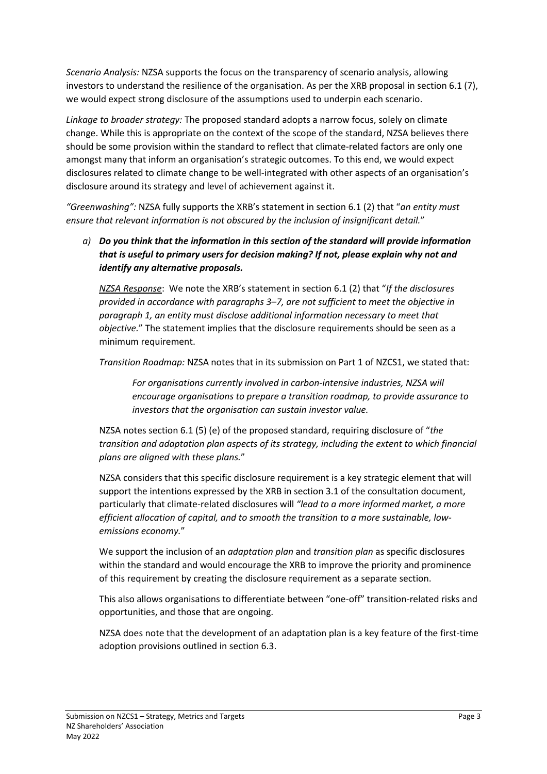*Scenario Analysis:* NZSA supports the focus on the transparency of scenario analysis, allowing investors to understand the resilience of the organisation. As per the XRB proposal in section 6.1 (7), we would expect strong disclosure of the assumptions used to underpin each scenario.

*Linkage to broader strategy:* The proposed standard adopts a narrow focus, solely on climate change. While this is appropriate on the context of the scope of the standard, NZSA believes there should be some provision within the standard to reflect that climate-related factors are only one amongst many that inform an organisation's strategic outcomes. To this end, we would expect disclosures related to climate change to be well-integrated with other aspects of an organisation's disclosure around its strategy and level of achievement against it.

*"Greenwashing":* NZSA fully supports the XRB's statement in section 6.1 (2) that "*an entity must ensure that relevant information is not obscured by the inclusion of insignificant detail.*"

*a) Do you think that the information in this section of the standard will provide information that is useful to primary users for decision making? If not, please explain why not and identify any alternative proposals.*

*NZSA Response*: We note the XRB's statement in section 6.1 (2) that "*If the disclosures provided in accordance with paragraphs 3–7, are not sufficient to meet the objective in paragraph 1, an entity must disclose additional information necessary to meet that objective.*" The statement implies that the disclosure requirements should be seen as a minimum requirement.

*Transition Roadmap:* NZSA notes that in its submission on Part 1 of NZCS1, we stated that:

*For organisations currently involved in carbon-intensive industries, NZSA will encourage organisations to prepare a transition roadmap, to provide assurance to investors that the organisation can sustain investor value.*

NZSA notes section 6.1 (5) (e) of the proposed standard, requiring disclosure of "*the transition and adaptation plan aspects of its strategy, including the extent to which financial plans are aligned with these plans.*"

NZSA considers that this specific disclosure requirement is a key strategic element that will support the intentions expressed by the XRB in section 3.1 of the consultation document, particularly that climate-related disclosures will *"lead to a more informed market, a more efficient allocation of capital, and to smooth the transition to a more sustainable, lowemissions economy.*"

We support the inclusion of an *adaptation plan* and *transition plan* as specific disclosures within the standard and would encourage the XRB to improve the priority and prominence of this requirement by creating the disclosure requirement as a separate section.

This also allows organisations to differentiate between "one-off" transition-related risks and opportunities, and those that are ongoing.

NZSA does note that the development of an adaptation plan is a key feature of the first-time adoption provisions outlined in section 6.3.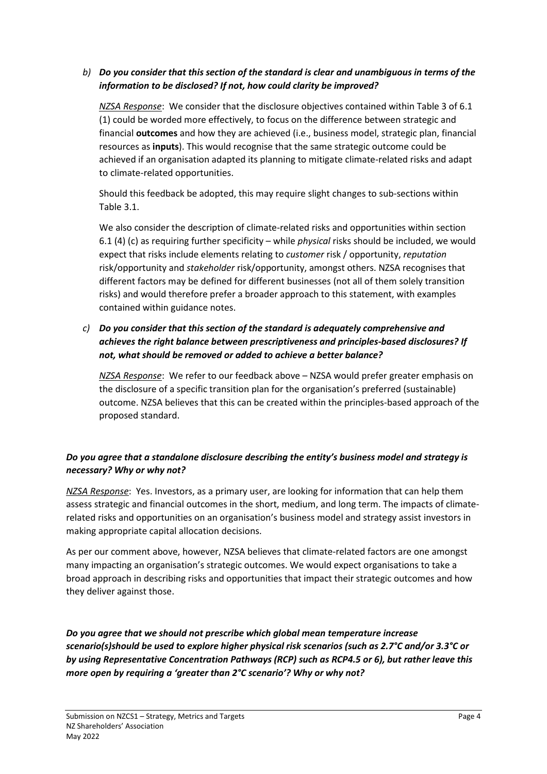## *b) Do you consider that this section of the standard is clear and unambiguous in terms of the information to be disclosed? If not, how could clarity be improved?*

*NZSA Response*: We consider that the disclosure objectives contained within Table 3 of 6.1 (1) could be worded more effectively, to focus on the difference between strategic and financial **outcomes** and how they are achieved (i.e., business model, strategic plan, financial resources as **inputs**). This would recognise that the same strategic outcome could be achieved if an organisation adapted its planning to mitigate climate-related risks and adapt to climate-related opportunities.

Should this feedback be adopted, this may require slight changes to sub-sections within Table 3.1.

We also consider the description of climate-related risks and opportunities within section 6.1 (4) (c) as requiring further specificity – while *physical* risks should be included, we would expect that risks include elements relating to *customer* risk / opportunity, *reputation* risk/opportunity and *stakeholder* risk/opportunity, amongst others. NZSA recognises that different factors may be defined for different businesses (not all of them solely transition risks) and would therefore prefer a broader approach to this statement, with examples contained within guidance notes.

## *c) Do you consider that this section of the standard is adequately comprehensive and achieves the right balance between prescriptiveness and principles-based disclosures? If not, what should be removed or added to achieve a better balance?*

*NZSA Response*: We refer to our feedback above – NZSA would prefer greater emphasis on the disclosure of a specific transition plan for the organisation's preferred (sustainable) outcome. NZSA believes that this can be created within the principles-based approach of the proposed standard.

# *Do you agree that a standalone disclosure describing the entity's business model and strategy is necessary? Why or why not?*

*NZSA Response*: Yes. Investors, as a primary user, are looking for information that can help them assess strategic and financial outcomes in the short, medium, and long term. The impacts of climaterelated risks and opportunities on an organisation's business model and strategy assist investors in making appropriate capital allocation decisions.

As per our comment above, however, NZSA believes that climate-related factors are one amongst many impacting an organisation's strategic outcomes. We would expect organisations to take a broad approach in describing risks and opportunities that impact their strategic outcomes and how they deliver against those.

*Do you agree that we should not prescribe which global mean temperature increase scenario(s)should be used to explore higher physical risk scenarios (such as 2.7°C and/or 3.3°C or by using Representative Concentration Pathways (RCP) such as RCP4.5 or 6), but rather leave this more open by requiring a 'greater than 2°C scenario'? Why or why not?*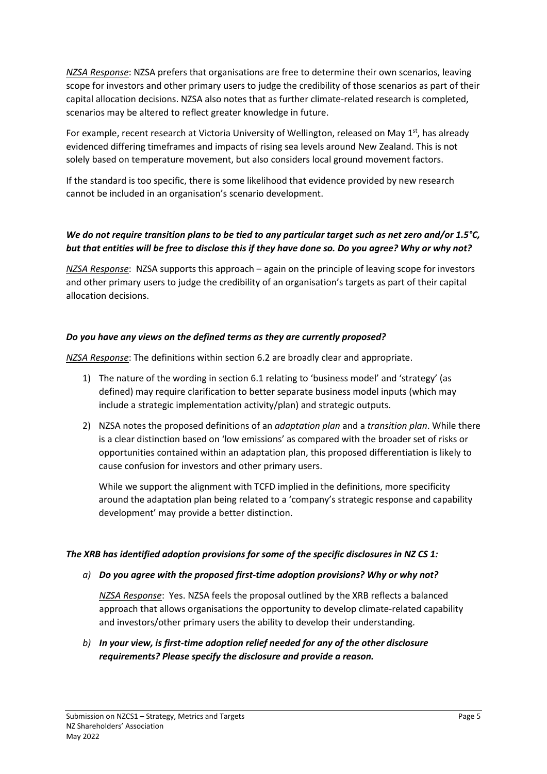*NZSA Response*: NZSA prefers that organisations are free to determine their own scenarios, leaving scope for investors and other primary users to judge the credibility of those scenarios as part of their capital allocation decisions. NZSA also notes that as further climate-related research is completed, scenarios may be altered to reflect greater knowledge in future.

For example, recent research at Victoria University of Wellington, released on May  $1<sup>st</sup>$ , has already evidenced differing timeframes and impacts of rising sea levels around New Zealand. This is not solely based on temperature movement, but also considers local ground movement factors.

If the standard is too specific, there is some likelihood that evidence provided by new research cannot be included in an organisation's scenario development.

## *We do not require transition plans to be tied to any particular target such as net zero and/or 1.5°C, but that entities will be free to disclose this if they have done so. Do you agree? Why or why not?*

*NZSA Response*: NZSA supports this approach – again on the principle of leaving scope for investors and other primary users to judge the credibility of an organisation's targets as part of their capital allocation decisions.

## *Do you have any views on the defined terms as they are currently proposed?*

*NZSA Response*: The definitions within section 6.2 are broadly clear and appropriate.

- 1) The nature of the wording in section 6.1 relating to 'business model' and 'strategy' (as defined) may require clarification to better separate business model inputs (which may include a strategic implementation activity/plan) and strategic outputs.
- 2) NZSA notes the proposed definitions of an *adaptation plan* and a *transition plan*. While there is a clear distinction based on 'low emissions' as compared with the broader set of risks or opportunities contained within an adaptation plan, this proposed differentiation is likely to cause confusion for investors and other primary users.

While we support the alignment with TCFD implied in the definitions, more specificity around the adaptation plan being related to a 'company's strategic response and capability development' may provide a better distinction.

### *The XRB has identified adoption provisions for some of the specific disclosures in NZ CS 1:*

### *a) Do you agree with the proposed first-time adoption provisions? Why or why not?*

*NZSA Response*: Yes. NZSA feels the proposal outlined by the XRB reflects a balanced approach that allows organisations the opportunity to develop climate-related capability and investors/other primary users the ability to develop their understanding.

*b) In your view, is first-time adoption relief needed for any of the other disclosure requirements? Please specify the disclosure and provide a reason.*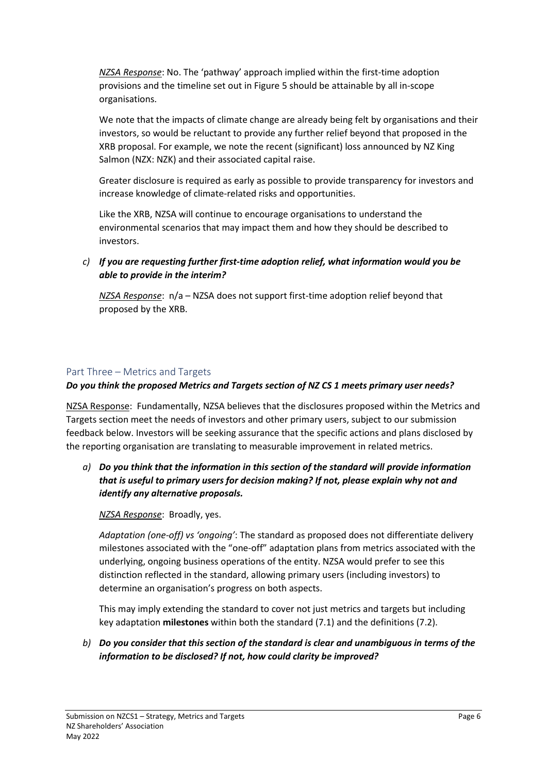*NZSA Response*: No. The 'pathway' approach implied within the first-time adoption provisions and the timeline set out in Figure 5 should be attainable by all in-scope organisations.

We note that the impacts of climate change are already being felt by organisations and their investors, so would be reluctant to provide any further relief beyond that proposed in the XRB proposal. For example, we note the recent (significant) loss announced by NZ King Salmon (NZX: NZK) and their associated capital raise.

Greater disclosure is required as early as possible to provide transparency for investors and increase knowledge of climate-related risks and opportunities.

Like the XRB, NZSA will continue to encourage organisations to understand the environmental scenarios that may impact them and how they should be described to investors.

*c) If you are requesting further first-time adoption relief, what information would you be able to provide in the interim?*

*NZSA Response*: n/a – NZSA does not support first-time adoption relief beyond that proposed by the XRB.

### Part Three – Metrics and Targets

*Do you think the proposed Metrics and Targets section of NZ CS 1 meets primary user needs?*

NZSA Response: Fundamentally, NZSA believes that the disclosures proposed within the Metrics and Targets section meet the needs of investors and other primary users, subject to our submission feedback below. Investors will be seeking assurance that the specific actions and plans disclosed by the reporting organisation are translating to measurable improvement in related metrics.

*a) Do you think that the information in this section of the standard will provide information that is useful to primary users for decision making? If not, please explain why not and identify any alternative proposals.*

### *NZSA Response*: Broadly, yes.

*Adaptation (one-off) vs 'ongoing'*: The standard as proposed does not differentiate delivery milestones associated with the "one-off" adaptation plans from metrics associated with the underlying, ongoing business operations of the entity. NZSA would prefer to see this distinction reflected in the standard, allowing primary users (including investors) to determine an organisation's progress on both aspects.

This may imply extending the standard to cover not just metrics and targets but including key adaptation **milestones** within both the standard (7.1) and the definitions (7.2).

*b) Do you consider that this section of the standard is clear and unambiguous in terms of the information to be disclosed? If not, how could clarity be improved?*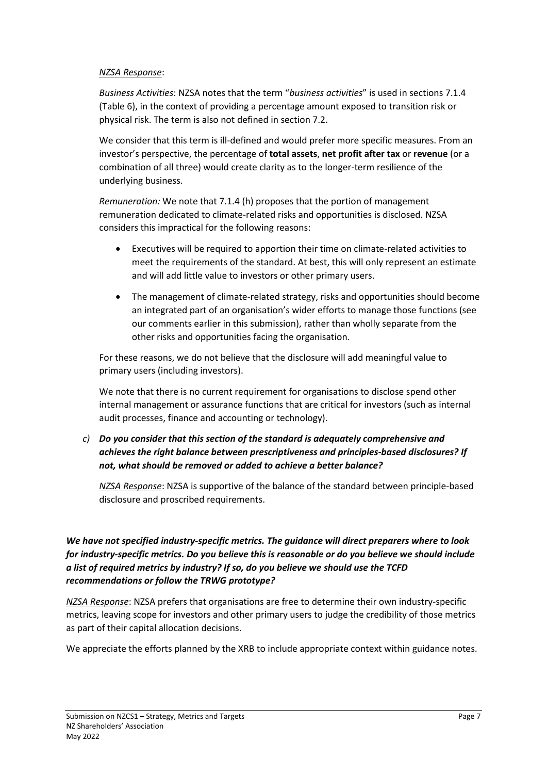#### *NZSA Response*:

*Business Activities*: NZSA notes that the term "*business activities*" is used in sections 7.1.4 (Table 6), in the context of providing a percentage amount exposed to transition risk or physical risk. The term is also not defined in section 7.2.

We consider that this term is ill-defined and would prefer more specific measures. From an investor's perspective, the percentage of **total assets**, **net profit after tax** or **revenue** (or a combination of all three) would create clarity as to the longer-term resilience of the underlying business.

*Remuneration:* We note that 7.1.4 (h) proposes that the portion of management remuneration dedicated to climate-related risks and opportunities is disclosed. NZSA considers this impractical for the following reasons:

- Executives will be required to apportion their time on climate-related activities to meet the requirements of the standard. At best, this will only represent an estimate and will add little value to investors or other primary users.
- The management of climate-related strategy, risks and opportunities should become an integrated part of an organisation's wider efforts to manage those functions (see our comments earlier in this submission), rather than wholly separate from the other risks and opportunities facing the organisation.

For these reasons, we do not believe that the disclosure will add meaningful value to primary users (including investors).

We note that there is no current requirement for organisations to disclose spend other internal management or assurance functions that are critical for investors (such as internal audit processes, finance and accounting or technology).

## *c) Do you consider that this section of the standard is adequately comprehensive and achieves the right balance between prescriptiveness and principles-based disclosures? If not, what should be removed or added to achieve a better balance?*

*NZSA Response*: NZSA is supportive of the balance of the standard between principle-based disclosure and proscribed requirements.

## *We have not specified industry-specific metrics. The guidance will direct preparers where to look for industry-specific metrics. Do you believe this is reasonable or do you believe we should include a list of required metrics by industry? If so, do you believe we should use the TCFD recommendations or follow the TRWG prototype?*

*NZSA Response*: NZSA prefers that organisations are free to determine their own industry-specific metrics, leaving scope for investors and other primary users to judge the credibility of those metrics as part of their capital allocation decisions.

We appreciate the efforts planned by the XRB to include appropriate context within guidance notes.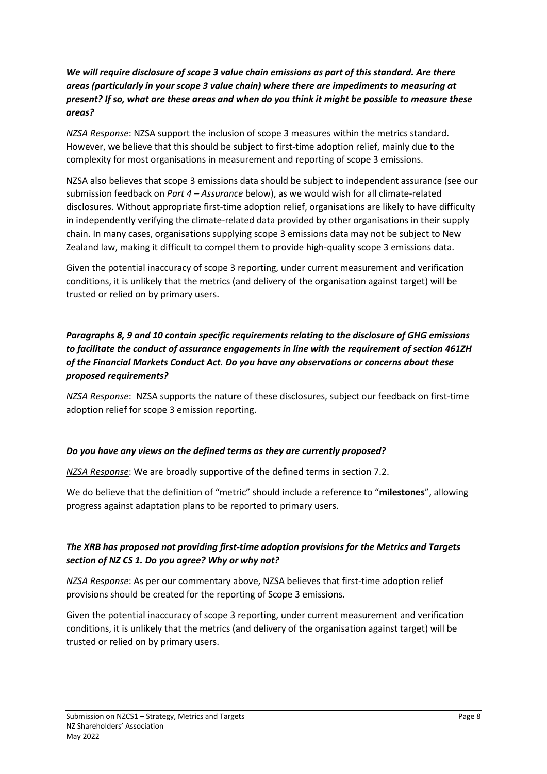## *We will require disclosure of scope 3 value chain emissions as part of this standard. Are there areas (particularly in your scope 3 value chain) where there are impediments to measuring at present? If so, what are these areas and when do you think it might be possible to measure these areas?*

*NZSA Response*: NZSA support the inclusion of scope 3 measures within the metrics standard. However, we believe that this should be subject to first-time adoption relief, mainly due to the complexity for most organisations in measurement and reporting of scope 3 emissions.

NZSA also believes that scope 3 emissions data should be subject to independent assurance (see our submission feedback on *Part 4 – Assurance* below), as we would wish for all climate-related disclosures. Without appropriate first-time adoption relief, organisations are likely to have difficulty in independently verifying the climate-related data provided by other organisations in their supply chain. In many cases, organisations supplying scope 3 emissions data may not be subject to New Zealand law, making it difficult to compel them to provide high-quality scope 3 emissions data.

Given the potential inaccuracy of scope 3 reporting, under current measurement and verification conditions, it is unlikely that the metrics (and delivery of the organisation against target) will be trusted or relied on by primary users.

## *Paragraphs 8, 9 and 10 contain specific requirements relating to the disclosure of GHG emissions to facilitate the conduct of assurance engagements in line with the requirement of section 461ZH of the Financial Markets Conduct Act. Do you have any observations or concerns about these proposed requirements?*

*NZSA Response*: NZSA supports the nature of these disclosures, subject our feedback on first-time adoption relief for scope 3 emission reporting.

### *Do you have any views on the defined terms as they are currently proposed?*

*NZSA Response*: We are broadly supportive of the defined terms in section 7.2.

We do believe that the definition of "metric" should include a reference to "**milestones**", allowing progress against adaptation plans to be reported to primary users.

## *The XRB has proposed not providing first-time adoption provisions for the Metrics and Targets section of NZ CS 1. Do you agree? Why or why not?*

*NZSA Response*: As per our commentary above, NZSA believes that first-time adoption relief provisions should be created for the reporting of Scope 3 emissions.

Given the potential inaccuracy of scope 3 reporting, under current measurement and verification conditions, it is unlikely that the metrics (and delivery of the organisation against target) will be trusted or relied on by primary users.